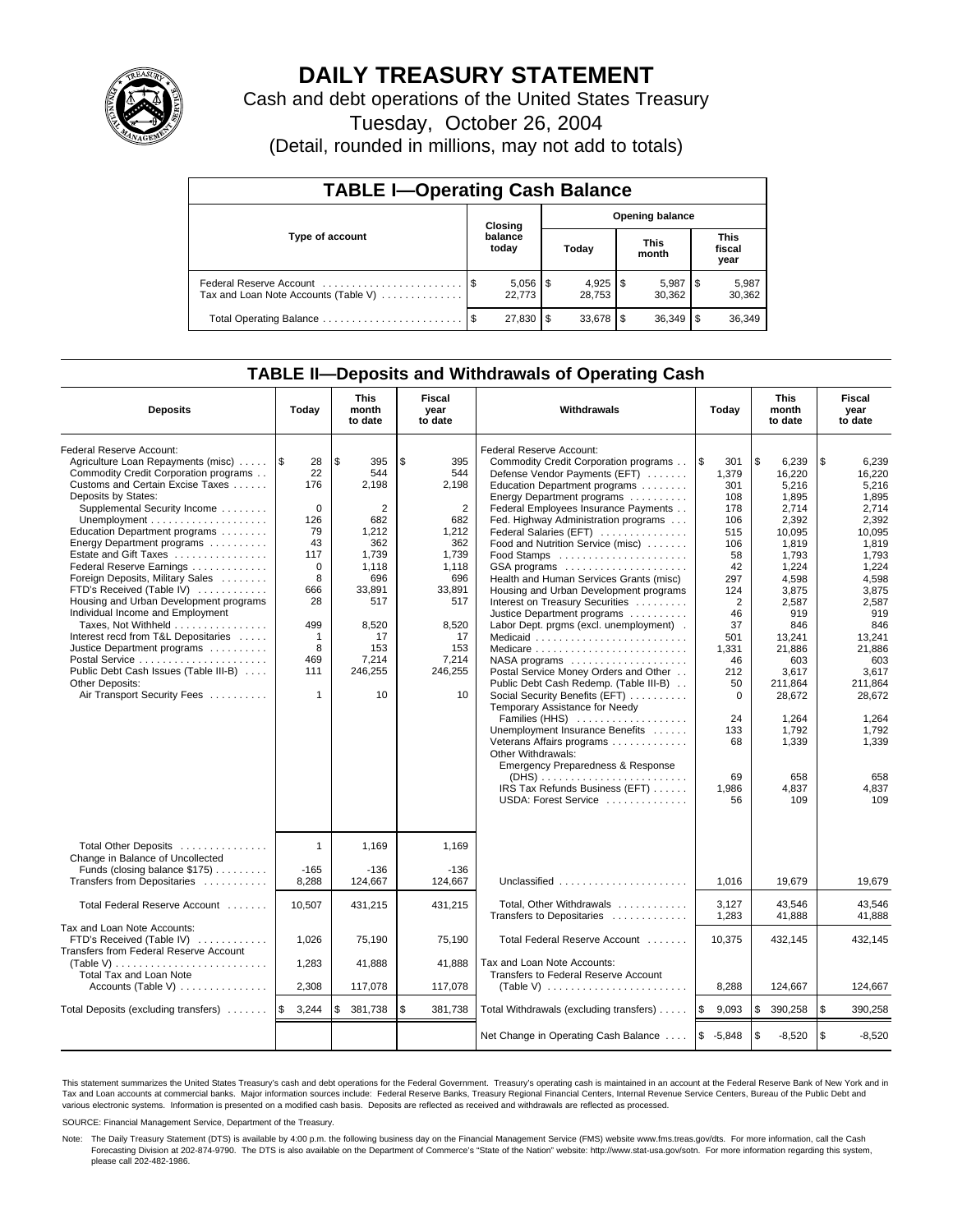

## **DAILY TREASURY STATEMENT**

Cash and debt operations of the United States Treasury

Tuesday, October 26, 2004

(Detail, rounded in millions, may not add to totals)

| <b>TABLE I-Operating Cash Balance</b>                           |         |                        |                        |           |  |                      |     |                               |  |
|-----------------------------------------------------------------|---------|------------------------|------------------------|-----------|--|----------------------|-----|-------------------------------|--|
|                                                                 | Closing |                        | <b>Opening balance</b> |           |  |                      |     |                               |  |
| Type of account                                                 |         | balance<br>today       |                        | Today     |  | <b>This</b><br>month |     | <b>This</b><br>fiscal<br>year |  |
| Federal Reserve Account<br>Tax and Loan Note Accounts (Table V) |         | $5,056$   \$<br>22.773 |                        | 28.753    |  | 5,987<br>30.362      | 1 S | 5,987<br>30,362               |  |
| Total Operating Balance                                         |         | 27.830                 | S                      | 33.678 \$ |  |                      |     | 36,349                        |  |

## **TABLE II—Deposits and Withdrawals of Operating Cash**

| <b>Deposits</b>                                                                                                                                                                                                                                                                                                                                                                                                                                                                                                                                                                                                                                               | Today                                                                                                                                                   | <b>This</b><br>month<br>to date                                                                                                                 | Fiscal<br>year<br>to date                                                                                                                                    | Withdrawals                                                                                                                                                                                                                                                                                                                                                                                                                                                                                                                                                                                                                                                                                                                                                                                                                                                                                                                                                                      | Today                                                                                                                                                                                                           | <b>This</b><br>month<br>to date                                                                                                                                                                                                                    | Fiscal<br>year<br>to date                                                                                                                                                                                                                          |
|---------------------------------------------------------------------------------------------------------------------------------------------------------------------------------------------------------------------------------------------------------------------------------------------------------------------------------------------------------------------------------------------------------------------------------------------------------------------------------------------------------------------------------------------------------------------------------------------------------------------------------------------------------------|---------------------------------------------------------------------------------------------------------------------------------------------------------|-------------------------------------------------------------------------------------------------------------------------------------------------|--------------------------------------------------------------------------------------------------------------------------------------------------------------|----------------------------------------------------------------------------------------------------------------------------------------------------------------------------------------------------------------------------------------------------------------------------------------------------------------------------------------------------------------------------------------------------------------------------------------------------------------------------------------------------------------------------------------------------------------------------------------------------------------------------------------------------------------------------------------------------------------------------------------------------------------------------------------------------------------------------------------------------------------------------------------------------------------------------------------------------------------------------------|-----------------------------------------------------------------------------------------------------------------------------------------------------------------------------------------------------------------|----------------------------------------------------------------------------------------------------------------------------------------------------------------------------------------------------------------------------------------------------|----------------------------------------------------------------------------------------------------------------------------------------------------------------------------------------------------------------------------------------------------|
| Federal Reserve Account:<br>Agriculture Loan Repayments (misc)<br>Commodity Credit Corporation programs<br>Customs and Certain Excise Taxes<br>Deposits by States:<br>Supplemental Security Income<br>Education Department programs<br>Energy Department programs<br>Estate and Gift Taxes<br>Federal Reserve Earnings<br>Foreign Deposits, Military Sales<br>FTD's Received (Table IV)<br>Housing and Urban Development programs<br>Individual Income and Employment<br>Taxes, Not Withheld<br>Interest recd from T&L Depositaries<br>Justice Department programs<br>Public Debt Cash Issues (Table III-B)<br>Other Deposits:<br>Air Transport Security Fees | ۱\$<br>28<br>22<br>176<br>$\mathbf 0$<br>126<br>79<br>43<br>117<br>$\Omega$<br>8<br>666<br>28<br>499<br>$\mathbf{1}$<br>8<br>469<br>111<br>$\mathbf{1}$ | \$<br>395<br>544<br>2.198<br>2<br>682<br>1,212<br>362<br>1.739<br>1,118<br>696<br>33,891<br>517<br>8,520<br>17<br>153<br>7,214<br>246,255<br>10 | \$<br>395<br>544<br>2,198<br>$\overline{2}$<br>682<br>1,212<br>362<br>1.739<br>1.118<br>696<br>33,891<br>517<br>8,520<br>17<br>153<br>7,214<br>246,255<br>10 | Federal Reserve Account:<br>Commodity Credit Corporation programs<br>Defense Vendor Payments (EFT)<br>Education Department programs<br>Energy Department programs<br>Federal Employees Insurance Payments<br>Fed. Highway Administration programs<br>Federal Salaries (EFT)<br>Food and Nutrition Service (misc)<br>GSA programs<br>Health and Human Services Grants (misc)<br>Housing and Urban Development programs<br>Interest on Treasury Securities<br>Justice Department programs<br>Labor Dept. prgms (excl. unemployment).<br>Medicaid<br>Medicare<br>$NASA$ programs $\ldots \ldots \ldots \ldots \ldots$<br>Postal Service Money Orders and Other<br>Public Debt Cash Redemp. (Table III-B)<br>Social Security Benefits (EFT)<br>Temporary Assistance for Needy<br>Families (HHS)<br>Unemployment Insurance Benefits<br>Veterans Affairs programs<br>Other Withdrawals:<br>Emergency Preparedness & Response<br>IRS Tax Refunds Business (EFT)<br>USDA: Forest Service | l\$<br>301<br>1,379<br>301<br>108<br>178<br>106<br>515<br>106<br>58<br>42<br>297<br>124<br>$\overline{2}$<br>46<br>37<br>501<br>1,331<br>46<br>212<br>50<br>$\mathbf 0$<br>24<br>133<br>68<br>69<br>1,986<br>56 | \$<br>6,239<br>16.220<br>5,216<br>1,895<br>2.714<br>2,392<br>10,095<br>1,819<br>1.793<br>1,224<br>4,598<br>3,875<br>2,587<br>919<br>846<br>13,241<br>21,886<br>603<br>3.617<br>211,864<br>28,672<br>1.264<br>1,792<br>1,339<br>658<br>4,837<br>109 | \$<br>6,239<br>16.220<br>5,216<br>1,895<br>2.714<br>2,392<br>10,095<br>1,819<br>1.793<br>1,224<br>4,598<br>3.875<br>2,587<br>919<br>846<br>13.241<br>21.886<br>603<br>3.617<br>211,864<br>28,672<br>1.264<br>1,792<br>1,339<br>658<br>4,837<br>109 |
| Total Other Deposits<br>Change in Balance of Uncollected<br>Funds (closing balance \$175)<br>Transfers from Depositaries                                                                                                                                                                                                                                                                                                                                                                                                                                                                                                                                      | $\mathbf{1}$<br>$-165$<br>8,288                                                                                                                         | 1,169<br>$-136$<br>124,667                                                                                                                      | 1,169<br>$-136$<br>124.667                                                                                                                                   | Unclassified                                                                                                                                                                                                                                                                                                                                                                                                                                                                                                                                                                                                                                                                                                                                                                                                                                                                                                                                                                     | 1.016                                                                                                                                                                                                           | 19.679                                                                                                                                                                                                                                             | 19.679                                                                                                                                                                                                                                             |
| Total Federal Reserve Account                                                                                                                                                                                                                                                                                                                                                                                                                                                                                                                                                                                                                                 | 10,507                                                                                                                                                  | 431,215                                                                                                                                         | 431,215                                                                                                                                                      | Total, Other Withdrawals                                                                                                                                                                                                                                                                                                                                                                                                                                                                                                                                                                                                                                                                                                                                                                                                                                                                                                                                                         | 3,127<br>1,283                                                                                                                                                                                                  | 43,546<br>41,888                                                                                                                                                                                                                                   | 43.546<br>41,888                                                                                                                                                                                                                                   |
| Tax and Loan Note Accounts:<br>FTD's Received (Table IV)<br>Transfers from Federal Reserve Account<br>(Table V)                                                                                                                                                                                                                                                                                                                                                                                                                                                                                                                                               | 1,026<br>1,283                                                                                                                                          | 75,190<br>41,888                                                                                                                                | 75,190<br>41.888                                                                                                                                             | Transfers to Depositaries<br>Total Federal Reserve Account<br>Tax and Loan Note Accounts:                                                                                                                                                                                                                                                                                                                                                                                                                                                                                                                                                                                                                                                                                                                                                                                                                                                                                        | 10,375                                                                                                                                                                                                          | 432,145                                                                                                                                                                                                                                            | 432,145                                                                                                                                                                                                                                            |
| <b>Total Tax and Loan Note</b><br>Accounts (Table V)                                                                                                                                                                                                                                                                                                                                                                                                                                                                                                                                                                                                          | 2,308                                                                                                                                                   | 117,078                                                                                                                                         | 117,078                                                                                                                                                      | Transfers to Federal Reserve Account                                                                                                                                                                                                                                                                                                                                                                                                                                                                                                                                                                                                                                                                                                                                                                                                                                                                                                                                             | 8,288                                                                                                                                                                                                           | 124,667                                                                                                                                                                                                                                            | 124,667                                                                                                                                                                                                                                            |
| Total Deposits (excluding transfers)                                                                                                                                                                                                                                                                                                                                                                                                                                                                                                                                                                                                                          | l\$<br>3,244                                                                                                                                            | \$<br>381,738                                                                                                                                   | \$<br>381,738                                                                                                                                                | Total Withdrawals (excluding transfers)                                                                                                                                                                                                                                                                                                                                                                                                                                                                                                                                                                                                                                                                                                                                                                                                                                                                                                                                          | l\$<br>9,093                                                                                                                                                                                                    | \$<br>390,258                                                                                                                                                                                                                                      | l \$<br>390,258                                                                                                                                                                                                                                    |
|                                                                                                                                                                                                                                                                                                                                                                                                                                                                                                                                                                                                                                                               |                                                                                                                                                         |                                                                                                                                                 |                                                                                                                                                              | Net Change in Operating Cash Balance                                                                                                                                                                                                                                                                                                                                                                                                                                                                                                                                                                                                                                                                                                                                                                                                                                                                                                                                             | $$ -5,848$                                                                                                                                                                                                      | \$<br>$-8,520$                                                                                                                                                                                                                                     | \$<br>$-8,520$                                                                                                                                                                                                                                     |

This statement summarizes the United States Treasury's cash and debt operations for the Federal Government. Treasury's operating cash is maintained in an account at the Federal Reserve Bank of New York and in Tax and Loan accounts at commercial banks. Major information sources include: Federal Reserve Banks, Treasury Regional Financial Centers, Internal Revenue Service Centers, Bureau of the Public Debt and<br>various electronic s

SOURCE: Financial Management Service, Department of the Treasury.

Note: The Daily Treasury Statement (DTS) is available by 4:00 p.m. the following business day on the Financial Management Service (FMS) website www.fms.treas.gov/dts. For more information, call the Cash Forecasting Division at 202-874-9790. The DTS is also available on the Department of Commerce's "State of the Nation" website: http://www.stat-usa.gov/sotn. For more information regarding this system, please call 202-482-1986.